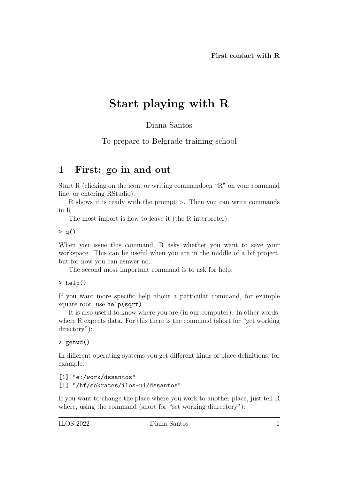# Start playing with R

Diana Santos

To prepare to Belgrade training school

### 1 First: go in and out

Start R (clicking on the icon, or writing commandoen "R" on your command line, or entering RStudio).

R shows it is ready with the prompt >. Then you can write commands in R.

The most import is how to leave it (the R interpreter):

 $> q()$ 

When you issue this command, R asks whether you want to save your workspace. This can be useful when you are in the middle of a bif project, but for now you can asnwer no.

The second most important command is to ask for help:

> help()

If you want more specific help about a particular command, for example square root, use help(sqrt).

It is also useful to know where you are (in our computer). In other words, where R expects data. For this there is the command (short for "get working directory"):

```
> getwd()
```
In different operating systems you get different kinds of place definitions, for example:

```
[1] "e:/work/dssantos"
[1] "/hf/sokrates/ilos-u1/dssantos"
```
If you want to change the place where you work to another place, just tell R where, using the command (short for "set working diurectory"):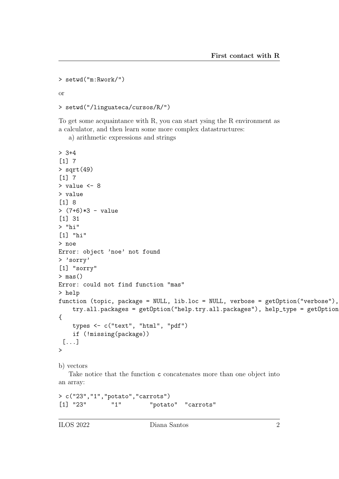```
> setwd("m:Rwork/")
```
or

```
> setwd("/linguateca/cursos/R/")
```
To get some acquaintance with R, you can start ysing the R environment as a calculator, and then learn some more complex datastructures:

a) arithmetic expressions and strings

```
> 3+4[1] 7
> sqrt(49)
[1] 7
> value <- 8
> value
[1] 8
> (7+6)*3 - value
[1] 31
> "hi"
[1] "hi"
> noe
Error: object 'noe' not found
> 'sorry'
[1] "sorry"
> mas()
Error: could not find function "mas"
> help
function (topic, package = NULL, lib.loc = NULL, verbose = getOption("verbose"),
    try.all.packages = getOption("help.try.all.packages"), help_type = getOption
{
    types <- c("text", "html", "pdf")
    if (!missing(package))
 [...]
>
b) vectors
   Take notice that the function c concatenates more than one object into
```
an array:

```
> c("23","1","potato","carrots")
[1] "23" "1" "potato" "carrots"
```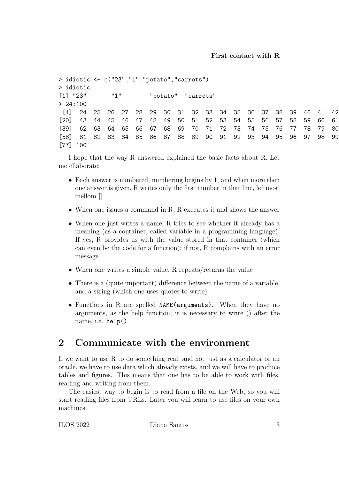```
> idiotic <- c("23","1","potato","carrots")
> idiotic
[1] "23" "1" "potato" "carrots"
> 24:100[1] 24 25 26 27 28 29 30 31 32 33 34 35 36 37 38 39 40 41 42
[20] 43 44 45 46 47 48 49 50 51 52 53 54 55 56 57 58 59 60 61
[39] 62 63 64 65 66 67 68 69 70 71 72 73 74 75 76 77 78 79 80
[58] 81 82 83 84 85 86 87 88 89 90 91 92 93 94 95 96 97 98 99
[77] 100
```
I hope that the way R answered explained the basic facts about R. Let me ellaborate:

- Each answer is numbered, numbering begins by 1, and when more then one answer is given, R writes only the first number in that line, leftmost mellom []
- When one issues a command in R, R executes it and shows the answer
- When one just writes a name, R tries to see whether it already has a meaning (as a container, called variable in a programming language). If yes, R provides us with the value stored in that container (which can even be the code for a function); if not, R complains with an error message
- When one writes a simple value, R repeats/returns the value
- There is a (quite important) difference between the name of a variable, and a string (which one uses quotes to write)
- Functions in R are spelled NAME(arguments). When they have no arguments, as the help function, it is necessary to write () after the name, i.e. help()

### 2 Communicate with the environment

If we want to use R to do something real, and not just as a calculator or an oracle, we have to use data which already exists, and we will have to produce tables and figures. This means that one has to be able to work with files, reading and writing from them.

The easiest way to begin is to read from a file on the Web, so you will start reading files from URLs. Later you will learn to use files on your own machines.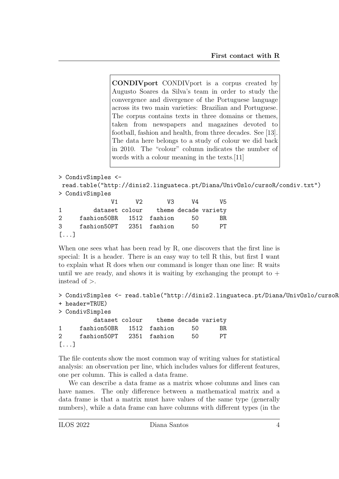CONDIVport CONDIVport is a corpus created by Augusto Soares da Silva's team in order to study the convergence and divergence of the Portuguese language across its two main varieties: Brazilian and Portuguese. The corpus contains texts in three domains or themes, taken from newspapers and magazines devoted to football, fashion and health, from three decades. See [13]. The data here belongs to a study of colour we did back in 2010. The "colour" column indicates the number of words with a colour meaning in the texts.[11]

```
> CondivSimples <-
read.table("http://dinis2.linguateca.pt/Diana/UnivOslo/cursoR/condiv.txt")
> CondivSimples
            V1 V2 V3 V4 V5
1 dataset colour theme decade variety
2 fashion50BR 1512 fashion 50 BR
3 fashion50PT 2351 fashion 50 PT
[\ldots]
```
When one sees what has been read by R, one discovers that the first line is special: It is a header. There is an easy way to tell R this, but first I want to explain what R does when our command is longer than one line: R waits until we are ready, and shows it is waiting by exchanging the prompt to  $+$ instead of  $>$ .

```
> CondivSimples <- read.table("http://dinis2.linguateca.pt/Diana/UnivOslo/cursoR
+ header=TRUE)
> CondivSimples
        dataset colour theme decade variety
1 fashion50BR 1512 fashion 50 BR
2 fashion50PT 2351 fashion 50 PT
[...]
```
The file contents show the most common way of writing values for statistical analysis: an observation per line, which includes values for different features, one per column. This is called a data frame.

We can describe a data frame as a matrix whose columns and lines can have names. The only difference between a mathematical matrix and a data frame is that a matrix must have values of the same type (generally numbers), while a data frame can have columns with different types (in the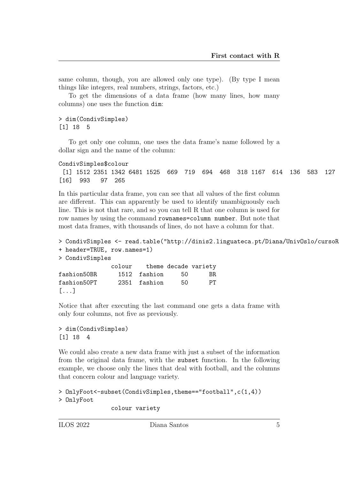same column, though, you are allowed only one type). (By type I mean things like integers, real numbers, strings, factors, etc.)

To get the dimensions of a data frame (how many lines, how many columns) one uses the function dim:

#### > dim(CondivSimples) [1] 18 5

To get only one column, one uses the data frame's name followed by a dollar sign and the name of the column:

```
CondivSimples$colour
```

```
[1] 1512 2351 1342 6481 1525 669 719 694 468 318 1167 614 136 583 127
[16] 993 97 265
```
In this particular data frame, you can see that all values of the first column are different. This can apparently be used to identify unambiguously each line. This is not that rare, and so you can tell R that one column is used for row names by using the command rownames=column number. But note that most data frames, with thousands of lines, do not have a column for that.

```
> CondivSimples <- read.table("http://dinis2.linguateca.pt/Diana/UnivOslo/cursoR
+ header=TRUE, row.names=1)
> CondivSimples
             colour theme decade variety
fashion50BR 1512 fashion 50 BR
fashion50PT 2351 fashion 50 PT
[...]
```
Notice that after executing the last command one gets a data frame with only four columns, not five as previously.

```
> dim(CondivSimples)
[1] 18 4
```
We could also create a new data frame with just a subset of the information from the original data frame, with the subset function. In the following example, we choose only the lines that deal with football, and the columns that concern colour and language variety.

```
> OnlyFoot<-subset(CondivSimples,theme=="football",c(1,4))
> OnlyFoot
```

```
colour variety
```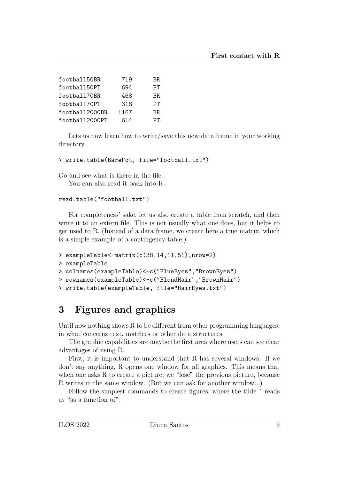| football50BR   | 719  | BR |
|----------------|------|----|
| football50PT   | 694  | PТ |
| football70BR   | 468  | BR |
| football70PT   | 318  | PТ |
| football2000BR | 1167 | BR |
| football2000PT | 614  | PТ |

Lets us now learn how to write/save this new data frame in your working directory.

```
> write.table(BareFot, file="football.txt")
```
Go and see what is there in the file.

You can also read it back into R:

#### read.table("football.txt")

For completeness' sake, let us also create a table from scratch, and then write it to an extern file. This is not usually what one does, but it helps to get used to R. (Instead of a data frame, we create here a true matrix, which is a simple example of a contingency table.)

```
> exampleTable<-matrix(c(38,14,11,51),nrow=2)
> exampleTable
> colnames(exampleTable)<-c("BlueEyes","BrownEyes")
```

```
> rownames(exampleTable)<-c("BlondHair","BrownHair")
```

```
> write.table(exampleTable, file="HairEyes.txt")
```
## 3 Figures and graphics

Until now nothing shows R to be different from other programming languages, in what concerns text, matrices or other data structures.

The graphic capabilities are maybe the first area where users can see clear advantages of using R.

First, it is important to understand that R has several windows. If we don't say anything, R opens one window for all graphics. This means that when one asks R to create a picture, we "lose" the previous picture, because R writes in the same window. (But we can ask for another window...)

Follow the simplest commands to create figures, where the tilde  $\tilde{ }$  reads as "as a function of".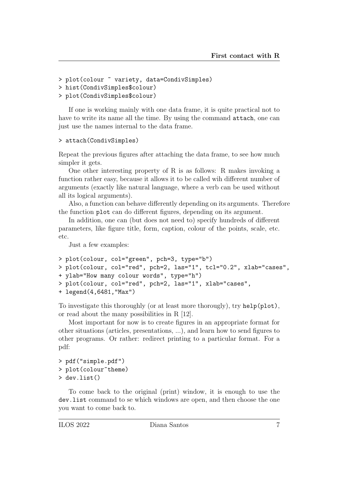```
> plot(colour ~ variety, data=CondivSimples)
```

```
> hist(CondivSimples$colour)
```

```
> plot(CondivSimples$colour)
```
If one is working mainly with one data frame, it is quite practical not to have to write its name all the time. By using the command attach, one can just use the names internal to the data frame.

```
> attach(CondivSimples)
```
Repeat the previous figures after attaching the data frame, to see how much simpler it gets.

One other interesting property of R is as follows: R makes invoking a function rather easy, because it allows it to be called wih different number of arguments (exactly like natural language, where a verb can be used without all its logical arguments).

Also, a function can behave differently depending on its arguments. Therefore the function plot can do different figures, depending on its argument.

In addition, one can (but does not need to) specify hundreds of different parameters, like figure title, form, caption, colour of the points, scale, etc. etc.

Just a few examples:

```
> plot(colour, col="green", pch=3, type="b")
> plot(colour, col="red", pch=2, las="1", tcl="0.2", xlab="cases",
+ ylab="How many colour words", type="h")
> plot(colour, col="red", pch=2, las="1", xlab="cases",
+ legend(4,6481,"Max")
```
To investigate this thoroughly (or at least more thorougly), try help(plot), or read about the many possibilities in R [12].

Most important for now is to create figures in an appropriate format for other situations (articles, presentations, ...), and learn how to send figures to other programs. Or rather: redirect printing to a particular format. For a pdf:

```
> pdf("simple.pdf")
> plot(colour~theme)
> dev.list()
```
To come back to the original (print) window, it is enough to use the dev.list command to se which windows are open, and then choose the one you want to come back to.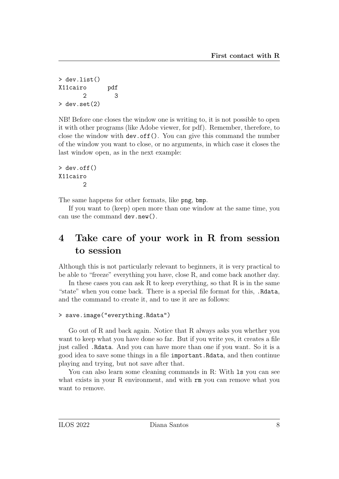```
> dev.list()
X11cairo pdf
      2 3
> dev.set(2)
```
NB! Before one closes the window one is writing to, it is not possible to open it with other programs (like Adobe viewer, for pdf). Remember, therefore, to close the window with dev.off(). You can give this command the number of the window you want to close, or no arguments, in which case it closes the last window open, as in the next example:

```
> dev.off()
X11cairo
           \overline{2}
```
The same happens for other formats, like png, bmp.

If you want to (keep) open more than one window at the same time, you can use the command dev.new().

### 4 Take care of your work in R from session to session

Although this is not particularly relevant to beginners, it is very practical to be able to "freeze" everything you have, close R, and come back another day.

In these cases you can ask  $R$  to keep everything, so that  $R$  is in the same "state" when you come back. There is a special file format for this, .Rdata, and the command to create it, and to use it are as follows:

```
> save.image("everything.Rdata")
```
Go out of R and back again. Notice that R always asks you whether you want to keep what you have done so far. But if you write yes, it creates a file just called .Rdata. And you can have more than one if you want. So it is a good idea to save some things in a file important.Rdata, and then continue playing and trying, but not save after that.

You can also learn some cleaning commands in R: With 1s you can see what exists in your R environment, and with rm you can remove what you want to remove.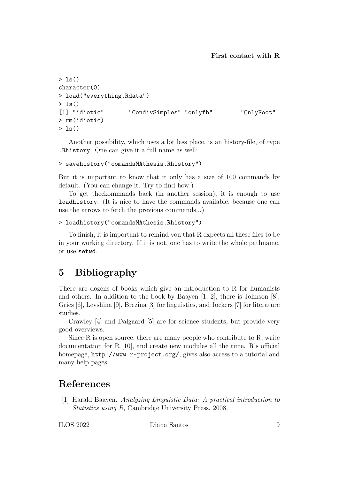```
> 1s()character(0)
> load("everything.Rdata")
> 1s()[1] "idiotic" "CondivSimples" "onlyfb" "OnlyFoot"
> rm(idiotic)
> 1s()
```
Another possibility, which uses a lot less place, is an history-file, of type .Rhistory. One can give it a full name as well:

```
> savehistory("comandsMAthesis.Rhistory")
```
But it is important to know that it only has a size of 100 commands by default. (You can change it. Try to find how.)

To get theckommands back (in another session), it is enough to use loadhistory. (It is nice to have the commands available, because one can use the arrows to fetch the previous commands...)

```
> loadhistory("comandsMAthesis.Rhistory")
```
To finish, it is important to remind you that R expects all these files to be in your working directory. If it is not, one has to write the whole pathname, or use setwd.

### 5 Bibliography

There are dozens of books which give an introduction to R for humanists and others. In addition to the book by Baayen [1, 2], there is Johnson [8], Gries [6], Levshina [9], Brezina [3] for linguistics, and Jockers [7] for literature studies.

Crawley [4] and Dalgaard [5] are for science students, but provide very good overviews.

Since R is open source, there are many people who contribute to R, write documentation for R [10], and create new modules all the time. R's official homepage, http://www.r-project.org/, gives also access to a tutorial and many help pages.

### References

[1] Harald Baayen. Analyzing Linguistic Data: A practical introduction to Statistics using R, Cambridge University Press, 2008.